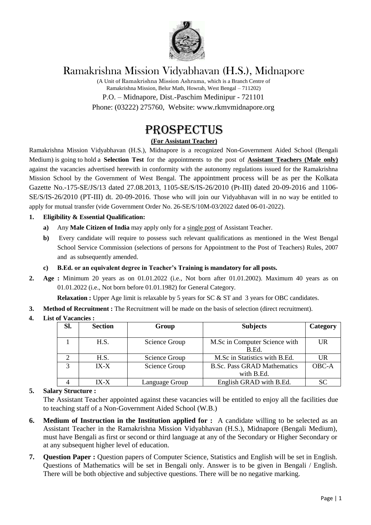

## Ramakrishna Mission Vidyabhavan (H.S.), Midnapore

(A Unit of Ramakrishna Mission Ashrama, which is a Branch Centre of Ramakrishna Mission, Belur Math, Howrah, West Bengal – 711202) P.O. – Midnapore, Dist.-Paschim Medinipur - 721101 Phone: (03222) 275760, Website: www.rkmvmidnapore.org

# PROSPECTUS

## **(For Assistant Teacher)**

Ramakrishna Mission Vidyabhavan (H.S.), Midnapore is a recognized Non-Government Aided School (Bengali Medium) is going to hold a **Selection Test** for the appointments to the post of **Assistant Teachers (Male only)** against the vacancies advertised herewith in conformity with the autonomy regulations issued for the Ramakrishna Mission School by the Government of West Bengal. The appointment process will be as per the Kolkata Gazette No.-175-SE/JS/13 dated 27.08.2013, 1105-SE/S/IS-26/2010 (Pt-III) dated 20-09-2016 and 1106- SE/S/IS-26/2010 (PT-III) dt. 20-09-2016. Those who will join our Vidyabhavan will in no way be entitled to apply for mutual transfer (vide Government Order No. 26-SE/S/10M-03/2022 dated 06-01-2022).

## **1. Eligibility & Essential Qualification:**

- **a)** Any **Male Citizen of India** may apply only for a single post of Assistant Teacher.
- **b)** Every candidate will require to possess such relevant qualifications as mentioned in the West Bengal School Service Commission (selections of persons for Appointment to the Post of Teachers) Rules, 2007 and as subsequently amended.

## **c) B.Ed. or an equivalent degree in Teacher's Training is mandatory for all posts.**

**2. Age :** Minimum 20 years as on 01.01.2022 (i.e., Not born after 01.01.2002). Maximum 40 years as on 01.01.2022 (i.e., Not born before 01.01.1982) for General Category.

**Relaxation :** Upper Age limit is relaxable by 5 years for SC & ST and 3 years for OBC candidates.

**3. Method of Recruitment :** The Recruitment will be made on the basis of selection (direct recruitment).

## **4. List of Vacancies :**

| SI.          | <b>Section</b> | Group          | <b>Subjects</b>                                  | Category  |
|--------------|----------------|----------------|--------------------------------------------------|-----------|
|              | H.S.           | Science Group  | M.Sc in Computer Science with<br>B.Ed.           | UR        |
|              | H.S.           | Science Group  | M.Sc in Statistics with B.Ed.                    | UR        |
| $\mathbf{r}$ | $IX-X$         | Science Group  | <b>B.Sc. Pass GRAD Mathematics</b><br>with B.Ed. | OBC-A     |
|              | $IX - X$       | Language Group | English GRAD with B.Ed.                          | <b>SC</b> |

## **5. Salary Structure :**

The Assistant Teacher appointed against these vacancies will be entitled to enjoy all the facilities due to teaching staff of a Non-Government Aided School (W.B.)

- **6. Medium of Instruction in the Institution applied for :** A candidate willing to be selected as an Assistant Teacher in the Ramakrishna Mission Vidyabhavan (H.S.), Midnapore (Bengali Medium), must have Bengali as first or second or third language at any of the Secondary or Higher Secondary or at any subsequent higher level of education.
- **7. Question Paper :** Question papers of Computer Science, Statistics and English will be set in English. Questions of Mathematics will be set in Bengali only. Answer is to be given in Bengali / English. There will be both objective and subjective questions. There will be no negative marking.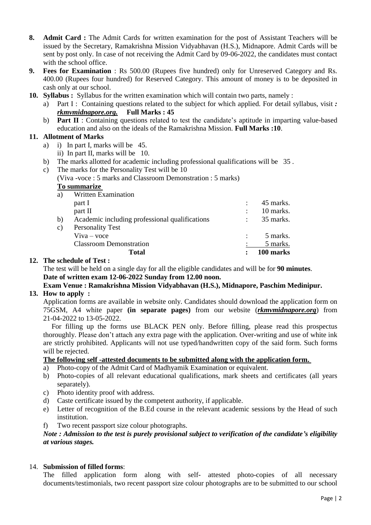- **8. Admit Card :** The Admit Cards for written examination for the post of Assistant Teachers will be issued by the Secretary, Ramakrishna Mission Vidyabhavan (H.S.), Midnapore. Admit Cards will be sent by post only. In case of not receiving the Admit Card by 09-06-2022, the candidates must contact with the school office.
- **9. Fees for Examination** : Rs 500.00 (Rupees five hundred) only for Unreserved Category and Rs. 400.00 (Rupees four hundred) for Reserved Category. This amount of money is to be deposited in cash only at our school.
- **10. Syllabus :** Syllabus for the written examination which will contain two parts, namely :
	- a) Part I : Containing questions related to the subject for which applied. For detail syllabus, visit *: rkmvmidnapore.org.* **Full Marks : 45**
	- b) **Part II** : Containing questions related to test the candidate's aptitude in imparting value-based education and also on the ideals of the Ramakrishna Mission. **Full Marks :10**.

## **11. Allotment of Marks**

- a) i) In part I, marks will be 45.
	- ii) In part II, marks will be 10.
- b) The marks allotted for academic including professional qualifications will be 35 .
- c) The marks for the Personality Test will be 10

(Viva -voce : 5 marks and Classroom Demonstration : 5 marks)

#### **To summarize**

|    | <b>Total</b>                                   | 100 marks |
|----|------------------------------------------------|-----------|
|    | <b>Classroom Demonstration</b>                 | 5 marks.  |
|    | $V$ iva – voce                                 | 5 marks.  |
| C) | <b>Personality Test</b>                        |           |
| b) | Academic including professional qualifications | 35 marks. |
|    | part II                                        | 10 marks. |
|    | part I                                         | 45 marks. |
| a) | <b>Written Examination</b>                     |           |

#### **12. The schedule of Test :**

The test will be held on a single day for all the eligible candidates and will be for **90 minutes**. **Date of written exam 12-06-2022 Sunday from 12.00 noon.** 

#### **Exam Venue : Ramakrishna Mission Vidyabhavan (H.S.), Midnapore, Paschim Medinipur. 13. How to apply :**

Application forms are available in website only. Candidates should download the application form on 75GSM, A4 white paper **(in separate pages)** from our website (*rkmvmidnapore.org*) from 21-04-2022 to 13-05-2022.

 For filling up the forms use BLACK PEN only. Before filling, please read this prospectus thoroughly. Please don't attach any extra page with the application. Over-writing and use of white ink are strictly prohibited. Applicants will not use typed/handwritten copy of the said form. Such forms will be rejected.

## **The following self -attested documents to be submitted along with the application form.**

- a) Photo-copy of the Admit Card of Madhyamik Examination or equivalent.
- b) Photo-copies of all relevant educational qualifications, mark sheets and certificates (all years separately).
- c) Photo identity proof with address.
- d) Caste certificate issued by the competent authority, if applicable.
- e) Letter of recognition of the B.Ed course in the relevant academic sessions by the Head of such institution.
- f) Two recent passport size colour photographs.

## *Note : Admission to the test is purely provisional subject to verification of the candidate's eligibility at various stages.*

## 14. **Submission of filled forms**:

The filled application form along with self- attested photo-copies of all necessary documents/testimonials, two recent passport size colour photographs are to be submitted to our school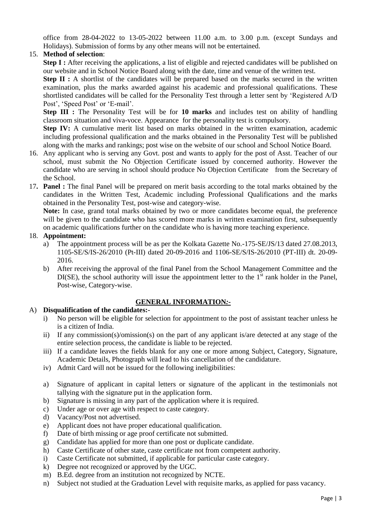office from 28-04-2022 to 13-05-2022 between 11.00 a.m. to 3.00 p.m. (except Sundays and Holidays). Submission of forms by any other means will not be entertained.

## 15. **Method of selection**:

**Step I** : After receiving the applications, a list of eligible and rejected candidates will be published on our website and in School Notice Board along with the date, time and venue of the written test.

**Step II :** A shortlist of the candidates will be prepared based on the marks secured in the written examination, plus the marks awarded against his academic and professional qualifications. These shortlisted candidates will be called for the Personality Test through a letter sent by 'Registered A/D Post', 'Speed Post' or 'E-mail'.

**Step III :** The Personality Test will be for **10 marks** and includes test on ability of handling classroom situation and viva-voce. Appearance for the personality test is compulsory.

**Step IV:** A cumulative merit list based on marks obtained in the written examination, academic including professional qualification and the marks obtained in the Personality Test will be published along with the marks and rankings; post wise on the website of our school and School Notice Board.

- 16. Any applicant who is serving any Govt. post and wants to apply for the post of Asst. Teacher of our school, must submit the No Objection Certificate issued by concerned authority. However the candidate who are serving in school should produce No Objection Certificate from the Secretary of the School.
- 17**. Panel :** The final Panel will be prepared on merit basis according to the total marks obtained by the candidates in the Written Test, Academic including Professional Qualifications and the marks obtained in the Personality Test, post-wise and category-wise.

**Note:** In case, grand total marks obtained by two or more candidates become equal, the preference will be given to the candidate who has scored more marks in written examination first, subsequently on academic qualifications further on the candidate who is having more teaching experience.

## 18. **Appointment:**

- a) The appointment process will be as per the Kolkata Gazette No.-175-SE/JS/13 dated 27.08.2013, 1105-SE/S/IS-26/2010 (Pt-III) dated 20-09-2016 and 1106-SE/S/IS-26/2010 (PT-III) dt. 20-09- 2016.
- b) After receiving the approval of the final Panel from the School Management Committee and the  $DI(SE)$ , the school authority will issue the appointment letter to the  $1<sup>st</sup>$  rank holder in the Panel, Post-wise, Category-wise.

## **GENERAL INFORMATION***:-*

## A) **Disqualification of the candidates:-**

- i) No person will be eligible for selection for appointment to the post of assistant teacher unless he is a citizen of India.
- ii) If any commission(s)/omission(s) on the part of any applicant is/are detected at any stage of the entire selection process, the candidate is liable to be rejected.
- iii) If a candidate leaves the fields blank for any one or more among Subject, Category, Signature, Academic Details, Photograph will lead to his cancellation of the candidature.
- iv) Admit Card will not be issued for the following ineligibilities:
- a) Signature of applicant in capital letters or signature of the applicant in the testimonials not tallying with the signature put in the application form.
- b) Signature is missing in any part of the application where it is required.
- c) Under age or over age with respect to caste category.
- d) Vacancy/Post not advertised.
- e) Applicant does not have proper educational qualification.
- f) Date of birth missing or age proof certificate not submitted.
- g) Candidate has applied for more than one post or duplicate candidate.
- h) Caste Certificate of other state, caste certificate not from competent authority.
- i) Caste Certificate not submitted, if applicable for particular caste category.
- k) Degree not recognized or approved by the UGC.
- m) B.Ed. degree from an institution not recognized by NCTE.
- n) Subject not studied at the Graduation Level with requisite marks, as applied for pass vacancy.